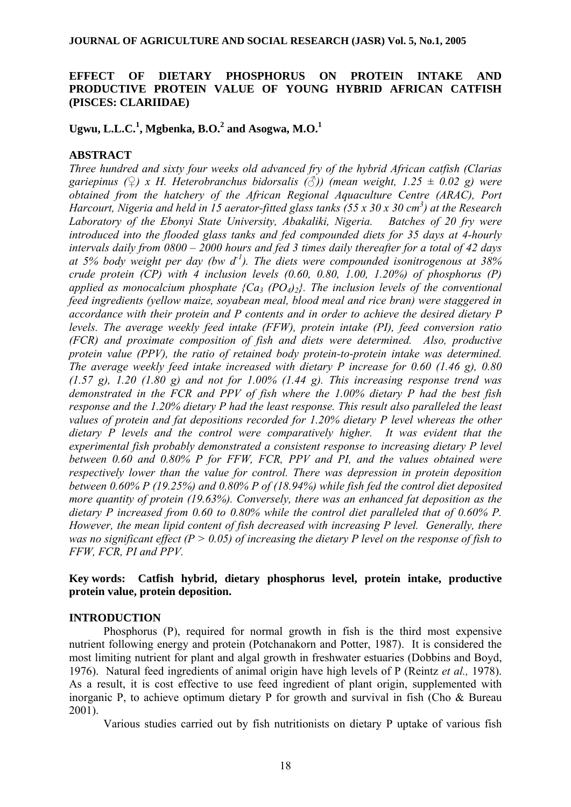## **EFFECT OF DIETARY PHOSPHORUS ON PROTEIN INTAKE AND PRODUCTIVE PROTEIN VALUE OF YOUNG HYBRID AFRICAN CATFISH (PISCES: CLARIIDAE)**

# $U$ gwu, L.L.C.<sup>1</sup>, Mgbenka, B.O.<sup>2</sup> and Asogwa, M.O.<sup>1</sup>

## **ABSTRACT**

*Three hundred and sixty four weeks old advanced fry of the hybrid African catfish (Clarias gariepinus (♀) x H. Heterobranchus bidorsalis (♂)) (mean weight, 1.25 ± 0.02 g) were obtained from the hatchery of the African Regional Aquaculture Centre (ARAC), Port Harcourt, Nigeria and held in 15 aerator-fitted glass tanks (55 x 30 x 30 cm3 ) at the Research Laboratory of the Ebonyi State University, Abakaliki, Nigeria. Batches of 20 fry were introduced into the flooded glass tanks and fed compounded diets for 35 days at 4-hourly intervals daily from 0800 – 2000 hours and fed 3 times daily thereafter for a total of 42 days at 5% body weight per day (bw d-1). The diets were compounded isonitrogenous at 38% crude protein (CP) with 4 inclusion levels (0.60, 0.80, 1.00, 1.20%) of phosphorus (P) applied as monocalcium phosphate {Ca3 (PO4)2}. The inclusion levels of the conventional feed ingredients (yellow maize, soyabean meal, blood meal and rice bran) were staggered in accordance with their protein and P contents and in order to achieve the desired dietary P levels. The average weekly feed intake (FFW), protein intake (PI), feed conversion ratio (FCR) and proximate composition of fish and diets were determined. Also, productive protein value (PPV), the ratio of retained body protein-to-protein intake was determined. The average weekly feed intake increased with dietary P increase for 0.60 (1.46 g), 0.80 (1.57 g), 1.20 (1.80 g) and not for 1.00% (1.44 g). This increasing response trend was demonstrated in the FCR and PPV of fish where the 1.00% dietary P had the best fish response and the 1.20% dietary P had the least response. This result also paralleled the least values of protein and fat depositions recorded for 1.20% dietary P level whereas the other dietary P levels and the control were comparatively higher. It was evident that the experimental fish probably demonstrated a consistent response to increasing dietary P level between 0.60 and 0.80% P for FFW, FCR, PPV and PI, and the values obtained were respectively lower than the value for control. There was depression in protein deposition between 0.60% P (19.25%) and 0.80% P of (18.94%) while fish fed the control diet deposited more quantity of protein (19.63%). Conversely, there was an enhanced fat deposition as the dietary P increased from 0.60 to 0.80% while the control diet paralleled that of 0.60% P. However, the mean lipid content of fish decreased with increasing P level. Generally, there was no significant effect (P > 0.05) of increasing the dietary P level on the response of fish to FFW, FCR, PI and PPV.* 

## **Key words: Catfish hybrid, dietary phosphorus level, protein intake, productive protein value, protein deposition.**

### **INTRODUCTION**

Phosphorus (P), required for normal growth in fish is the third most expensive nutrient following energy and protein (Potchanakorn and Potter, 1987). It is considered the most limiting nutrient for plant and algal growth in freshwater estuaries (Dobbins and Boyd, 1976). Natural feed ingredients of animal origin have high levels of P (Reintz *et al.,* 1978). As a result, it is cost effective to use feed ingredient of plant origin, supplemented with inorganic P, to achieve optimum dietary P for growth and survival in fish (Cho & Bureau 2001).

Various studies carried out by fish nutritionists on dietary P uptake of various fish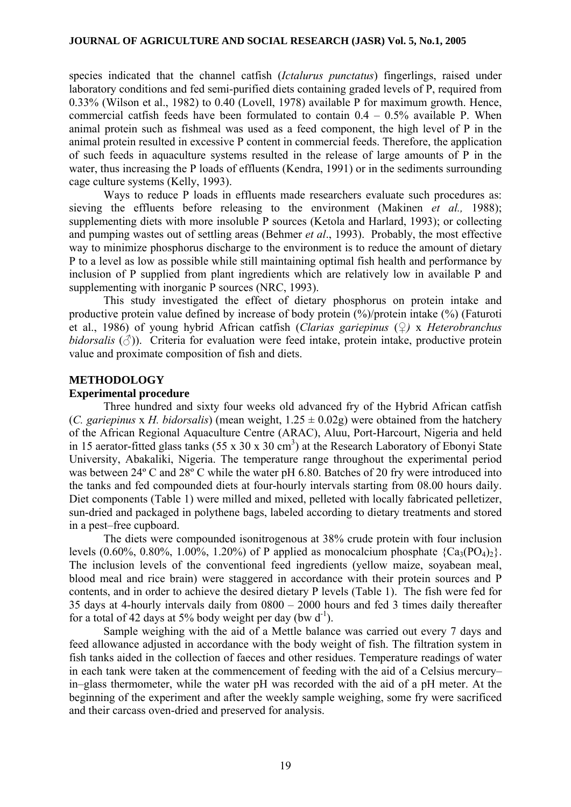species indicated that the channel catfish (*Ictalurus punctatus*) fingerlings, raised under laboratory conditions and fed semi-purified diets containing graded levels of P, required from 0.33% (Wilson et al., 1982) to 0.40 (Lovell, 1978) available P for maximum growth. Hence, commercial catfish feeds have been formulated to contain  $0.4 - 0.5\%$  available P. When animal protein such as fishmeal was used as a feed component, the high level of P in the animal protein resulted in excessive P content in commercial feeds. Therefore, the application of such feeds in aquaculture systems resulted in the release of large amounts of P in the water, thus increasing the P loads of effluents (Kendra, 1991) or in the sediments surrounding cage culture systems (Kelly, 1993).

Ways to reduce P loads in effluents made researchers evaluate such procedures as: sieving the effluents before releasing to the environment (Makinen *et al.,* 1988); supplementing diets with more insoluble P sources (Ketola and Harlard, 1993); or collecting and pumping wastes out of settling areas (Behmer *et al*., 1993). Probably, the most effective way to minimize phosphorus discharge to the environment is to reduce the amount of dietary P to a level as low as possible while still maintaining optimal fish health and performance by inclusion of P supplied from plant ingredients which are relatively low in available P and supplementing with inorganic P sources (NRC, 1993).

This study investigated the effect of dietary phosphorus on protein intake and productive protein value defined by increase of body protein (%)/protein intake (%) (Faturoti et al., 1986) of young hybrid African catfish (*Clarias gariepinus* (♀*)* x *Heterobranchus bidorsalis*  $(\text{A})$ ). Criteria for evaluation were feed intake, protein intake, productive protein value and proximate composition of fish and diets.

### **METHODOLOGY**

### **Experimental procedure**

Three hundred and sixty four weeks old advanced fry of the Hybrid African catfish (*C. gariepinus* x *H. bidorsalis*) (mean weight, 1.25 ± 0.02g) were obtained from the hatchery of the African Regional Aquaculture Centre (ARAC), Aluu, Port-Harcourt, Nigeria and held in 15 aerator-fitted glass tanks  $(55 \times 30 \times 30 \text{ cm}^3)$  at the Research Laboratory of Ebonyi State University, Abakaliki, Nigeria. The temperature range throughout the experimental period was between 24º C and 28º C while the water pH 6.80. Batches of 20 fry were introduced into the tanks and fed compounded diets at four-hourly intervals starting from 08.00 hours daily. Diet components (Table 1) were milled and mixed, pelleted with locally fabricated pelletizer, sun-dried and packaged in polythene bags, labeled according to dietary treatments and stored in a pest–free cupboard.

The diets were compounded isonitrogenous at 38% crude protein with four inclusion levels  $(0.60\%$ ,  $0.80\%$ ,  $1.00\%$ ,  $1.20\%$ ) of P applied as monocalcium phosphate  ${Ca_3(PO_4)_2}$ . The inclusion levels of the conventional feed ingredients (yellow maize, soyabean meal, blood meal and rice brain) were staggered in accordance with their protein sources and P contents, and in order to achieve the desired dietary P levels (Table 1). The fish were fed for 35 days at 4-hourly intervals daily from 0800 – 2000 hours and fed 3 times daily thereafter for a total of 42 days at 5% body weight per day (bw  $d^{-1}$ ).

Sample weighing with the aid of a Mettle balance was carried out every 7 days and feed allowance adjusted in accordance with the body weight of fish. The filtration system in fish tanks aided in the collection of faeces and other residues. Temperature readings of water in each tank were taken at the commencement of feeding with the aid of a Celsius mercury– in–glass thermometer, while the water pH was recorded with the aid of a pH meter. At the beginning of the experiment and after the weekly sample weighing, some fry were sacrificed and their carcass oven-dried and preserved for analysis.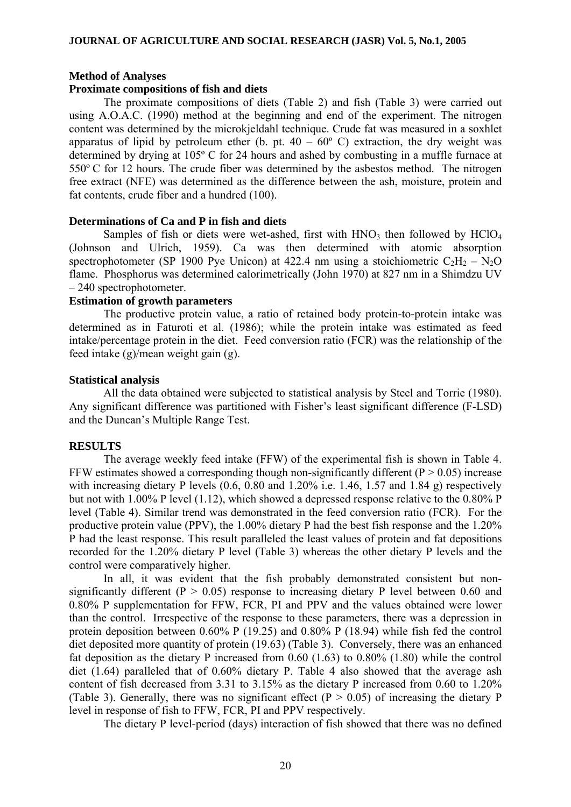#### **Method of Analyses**

### **Proximate compositions of fish and diets**

The proximate compositions of diets (Table 2) and fish (Table 3) were carried out using A.O.A.C. (1990) method at the beginning and end of the experiment. The nitrogen content was determined by the microkjeldahl technique. Crude fat was measured in a soxhlet apparatus of lipid by petroleum ether (b. pt.  $40 - 60^{\circ}$  C) extraction, the dry weight was determined by drying at 105º C for 24 hours and ashed by combusting in a muffle furnace at 550º C for 12 hours. The crude fiber was determined by the asbestos method. The nitrogen free extract (NFE) was determined as the difference between the ash, moisture, protein and fat contents, crude fiber and a hundred (100).

#### **Determinations of Ca and P in fish and diets**

Samples of fish or diets were wet-ashed, first with  $HNO<sub>3</sub>$  then followed by  $HClO<sub>4</sub>$ (Johnson and Ulrich, 1959). Ca was then determined with atomic absorption spectrophotometer (SP 1900 Pye Unicon) at 422.4 nm using a stoichiometric  $C_2H_2 - N_2O$ flame. Phosphorus was determined calorimetrically (John 1970) at 827 nm in a Shimdzu UV – 240 spectrophotometer.

### **Estimation of growth parameters**

The productive protein value, a ratio of retained body protein-to-protein intake was determined as in Faturoti et al. (1986); while the protein intake was estimated as feed intake/percentage protein in the diet. Feed conversion ratio (FCR) was the relationship of the feed intake (g)/mean weight gain (g).

#### **Statistical analysis**

All the data obtained were subjected to statistical analysis by Steel and Torrie (1980). Any significant difference was partitioned with Fisher's least significant difference (F-LSD) and the Duncan's Multiple Range Test.

#### **RESULTS**

The average weekly feed intake (FFW) of the experimental fish is shown in Table 4. FFW estimates showed a corresponding though non-significantly different ( $P > 0.05$ ) increase with increasing dietary P levels (0.6, 0.80 and 1.20% i.e. 1.46, 1.57 and 1.84 g) respectively but not with 1.00% P level (1.12), which showed a depressed response relative to the 0.80% P level (Table 4). Similar trend was demonstrated in the feed conversion ratio (FCR). For the productive protein value (PPV), the 1.00% dietary P had the best fish response and the 1.20% P had the least response. This result paralleled the least values of protein and fat depositions recorded for the 1.20% dietary P level (Table 3) whereas the other dietary P levels and the control were comparatively higher.

In all, it was evident that the fish probably demonstrated consistent but nonsignificantly different ( $P > 0.05$ ) response to increasing dietary P level between 0.60 and 0.80% P supplementation for FFW, FCR, PI and PPV and the values obtained were lower than the control. Irrespective of the response to these parameters, there was a depression in protein deposition between 0.60% P (19.25) and 0.80% P (18.94) while fish fed the control diet deposited more quantity of protein (19.63) (Table 3). Conversely, there was an enhanced fat deposition as the dietary P increased from 0.60 (1.63) to 0.80% (1.80) while the control diet (1.64) paralleled that of 0.60% dietary P. Table 4 also showed that the average ash content of fish decreased from 3.31 to 3.15% as the dietary P increased from 0.60 to 1.20% (Table 3). Generally, there was no significant effect ( $P > 0.05$ ) of increasing the dietary P level in response of fish to FFW, FCR, PI and PPV respectively.

The dietary P level-period (days) interaction of fish showed that there was no defined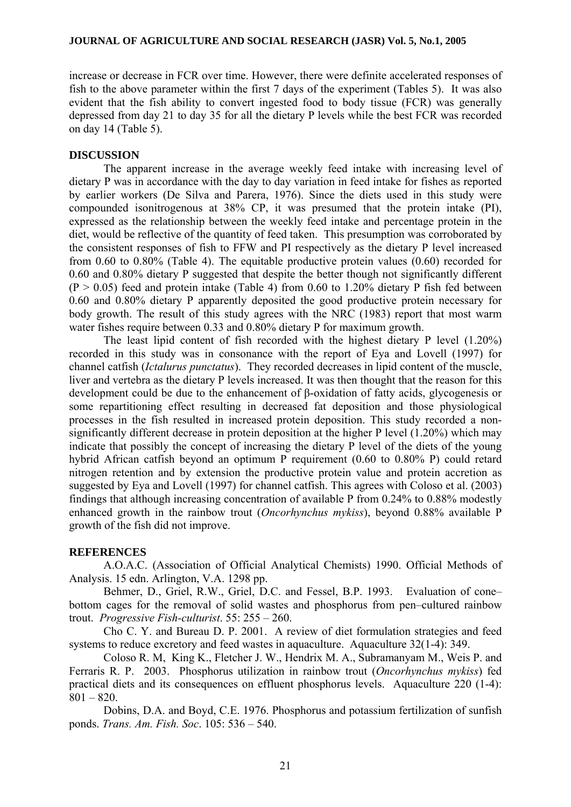increase or decrease in FCR over time. However, there were definite accelerated responses of fish to the above parameter within the first 7 days of the experiment (Tables 5). It was also evident that the fish ability to convert ingested food to body tissue (FCR) was generally depressed from day 21 to day 35 for all the dietary P levels while the best FCR was recorded on day 14 (Table 5).

## **DISCUSSION**

The apparent increase in the average weekly feed intake with increasing level of dietary P was in accordance with the day to day variation in feed intake for fishes as reported by earlier workers (De Silva and Parera, 1976). Since the diets used in this study were compounded isonitrogenous at 38% CP, it was presumed that the protein intake (PI), expressed as the relationship between the weekly feed intake and percentage protein in the diet, would be reflective of the quantity of feed taken. This presumption was corroborated by the consistent responses of fish to FFW and PI respectively as the dietary P level increased from 0.60 to 0.80% (Table 4). The equitable productive protein values (0.60) recorded for 0.60 and 0.80% dietary P suggested that despite the better though not significantly different  $(P > 0.05)$  feed and protein intake (Table 4) from 0.60 to 1.20% dietary P fish fed between 0.60 and 0.80% dietary P apparently deposited the good productive protein necessary for body growth. The result of this study agrees with the NRC (1983) report that most warm water fishes require between 0.33 and 0.80% dietary P for maximum growth.

The least lipid content of fish recorded with the highest dietary P level (1.20%) recorded in this study was in consonance with the report of Eya and Lovell (1997) for channel catfish (*Ictalurus punctatus*). They recorded decreases in lipid content of the muscle, liver and vertebra as the dietary P levels increased. It was then thought that the reason for this development could be due to the enhancement of β-oxidation of fatty acids, glycogenesis or some repartitioning effect resulting in decreased fat deposition and those physiological processes in the fish resulted in increased protein deposition. This study recorded a nonsignificantly different decrease in protein deposition at the higher P level (1.20%) which may indicate that possibly the concept of increasing the dietary P level of the diets of the young hybrid African catfish beyond an optimum P requirement (0.60 to 0.80% P) could retard nitrogen retention and by extension the productive protein value and protein accretion as suggested by Eya and Lovell (1997) for channel catfish. This agrees with Coloso et al. (2003) findings that although increasing concentration of available P from 0.24% to 0.88% modestly enhanced growth in the rainbow trout (*Oncorhynchus mykiss*), beyond 0.88% available P growth of the fish did not improve.

## **REFERENCES**

A.O.A.C. (Association of Official Analytical Chemists) 1990. Official Methods of Analysis. 15 edn. Arlington, V.A. 1298 pp.

Behmer, D., Griel, R.W., Griel, D.C. and Fessel, B.P. 1993. Evaluation of cone– bottom cages for the removal of solid wastes and phosphorus from pen–cultured rainbow trout. *Progressive Fish-culturist*. 55: 255 – 260.

 Cho C. Y. and Bureau D. P. 2001. A review of diet formulation strategies and feed systems to reduce excretory and feed wastes in aquaculture. Aquaculture 32(1-4): 349.

 Coloso R. M, King K., Fletcher J. W., Hendrix M. A., Subramanyam M., Weis P. and Ferraris R. P. 2003. Phosphorus utilization in rainbow trout (*Oncorhynchus mykiss*) fed practical diets and its consequences on effluent phosphorus levels. Aquaculture 220 (1-4):  $801 - 820$ .

Dobins, D.A. and Boyd, C.E. 1976. Phosphorus and potassium fertilization of sunfish ponds. *Trans. Am. Fish. Soc*. 105: 536 – 540.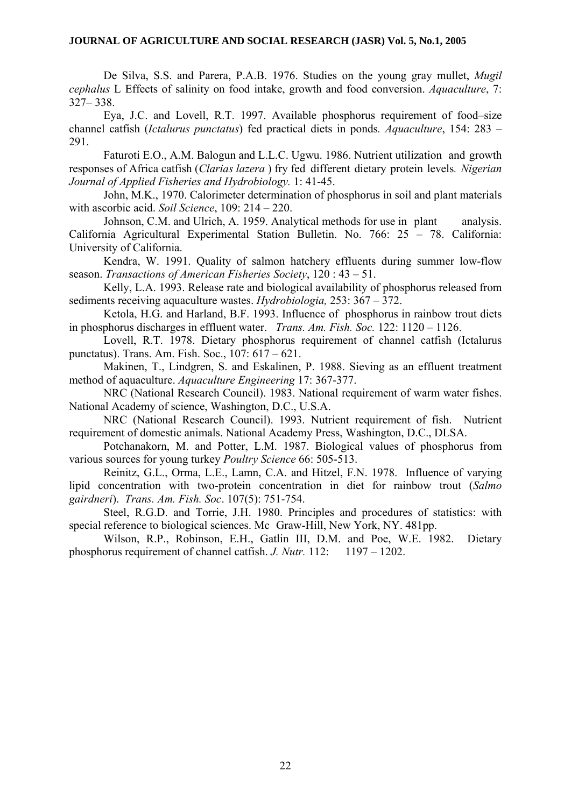#### **JOURNAL OF AGRICULTURE AND SOCIAL RESEARCH (JASR) Vol. 5, No.1, 2005**

De Silva, S.S. and Parera, P.A.B. 1976. Studies on the young gray mullet, *Mugil cephalus* L Effects of salinity on food intake, growth and food conversion. *Aquaculture*, 7: 327– 338.

Eya, J.C. and Lovell, R.T. 1997. Available phosphorus requirement of food–size channel catfish (*Ictalurus punctatus*) fed practical diets in ponds*. Aquaculture*, 154: 283 – 291.

Faturoti E.O., A.M. Balogun and L.L.C. Ugwu. 1986. Nutrient utilization and growth responses of Africa catfish (*Clarias lazera* ) fry fed different dietary protein levels*. Nigerian Journal of Applied Fisheries and Hydrobiology.* 1: 41-45.

John, M.K., 1970. Calorimeter determination of phosphorus in soil and plant materials with ascorbic acid. *Soil Science*, 109: 214 – 220.

Johnson, C.M. and Ulrich, A. 1959. Analytical methods for use in plant analysis. California Agricultural Experimental Station Bulletin. No. 766: 25 – 78. California: University of California.

Kendra, W. 1991. Quality of salmon hatchery effluents during summer low-flow season. *Transactions of American Fisheries Society*, 120 : 43 – 51.

Kelly, L.A. 1993. Release rate and biological availability of phosphorus released from sediments receiving aquaculture wastes. *Hydrobiologia,* 253: 367 – 372.

Ketola, H.G. and Harland, B.F. 1993. Influence of phosphorus in rainbow trout diets in phosphorus discharges in effluent water. *Trans. Am. Fish. Soc.* 122: 1120 – 1126.

Lovell, R.T. 1978. Dietary phosphorus requirement of channel catfish (Ictalurus punctatus). Trans. Am. Fish. Soc., 107: 617 – 621.

Makinen, T., Lindgren, S. and Eskalinen, P. 1988. Sieving as an effluent treatment method of aquaculture. *Aquaculture Engineering* 17: 367-377.

NRC (National Research Council). 1983. National requirement of warm water fishes. National Academy of science, Washington, D.C., U.S.A.

NRC (National Research Council). 1993. Nutrient requirement of fish. Nutrient requirement of domestic animals. National Academy Press, Washington, D.C., DLSA.

Potchanakorn, M. and Potter, L.M. 1987. Biological values of phosphorus from various sources for young turkey *Poultry Science* 66: 505-513.

Reinitz, G.L., Orma, L.E., Lamn, C.A. and Hitzel, F.N. 1978. Influence of varying lipid concentration with two-protein concentration in diet for rainbow trout (*Salmo gairdneri*). *Trans. Am. Fish. Soc*. 107(5): 751-754.

Steel, R.G.D. and Torrie, J.H. 1980. Principles and procedures of statistics: with special reference to biological sciences. Mc Graw-Hill, New York, NY. 481pp.

Wilson, R.P., Robinson, E.H., Gatlin III, D.M. and Poe, W.E. 1982. Dietary phosphorus requirement of channel catfish. *J. Nutr.* 112: 1197 – 1202.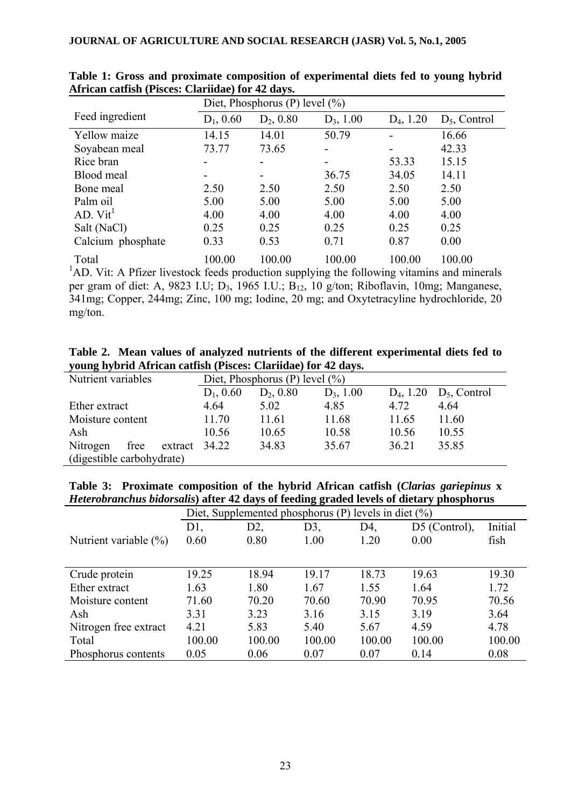|                      | Diet, Phosphorus (P) level $(\% )$ |              |              |                          |                 |  |
|----------------------|------------------------------------|--------------|--------------|--------------------------|-----------------|--|
| Feed ingredient      | $D_1$ , 0.60                       | $D_2$ , 0.80 | $D_3$ , 1.00 | $D_4$ , 1.20             | $D_5$ , Control |  |
| <b>Yellow</b> maize  | 14.15                              | 14.01        | 50.79        |                          | 16.66           |  |
| Soyabean meal        | 73.77                              | 73.65        |              | $\overline{\phantom{0}}$ | 42.33           |  |
| Rice bran            | $\overline{\phantom{0}}$           |              |              | 53.33                    | 15.15           |  |
| Blood meal           | -                                  |              | 36.75        | 34.05                    | 14.11           |  |
| Bone meal            | 2.50                               | 2.50         | 2.50         | 2.50                     | 2.50            |  |
| Palm oil             | 5.00                               | 5.00         | 5.00         | 5.00                     | 5.00            |  |
| AD. Vit <sup>1</sup> | 4.00                               | 4.00         | 4.00         | 4.00                     | 4.00            |  |
| Salt (NaCl)          | 0.25                               | 0.25         | 0.25         | 0.25                     | 0.25            |  |
| Calcium phosphate    | 0.33                               | 0.53         | 0.71         | 0.87                     | 0.00            |  |
| Total                | 100.00                             | 100.00       | 100 00       | 100.00                   | 100.00          |  |

**Table 1: Gross and proximate composition of experimental diets fed to young hybrid African catfish (Pisces: Clariidae) for 42 days.** 

Total 100.00 100.00 100.00 100.00 100.00 100.00<br>
<sup>1</sup>AD. Vit: A Pfizer livestock feeds production supplying the following vitamins and minerals per gram of diet: A, 9823 I.U; D<sub>3</sub>, 1965 I.U.; B<sub>12</sub>, 10 g/ton; Riboflavin, 10mg; Manganese, 341mg; Copper, 244mg; Zinc, 100 mg; Iodine, 20 mg; and Oxytetracyline hydrochloride, 20 mg/ton.

**Table 2. Mean values of analyzed nutrients of the different experimental diets fed to young hybrid African catfish (Pisces: Clariidae) for 42 days.** 

| Nutrient variables        |                 | Diet, Phosphorus (P) level $(\% )$ |              |              |                 |  |
|---------------------------|-----------------|------------------------------------|--------------|--------------|-----------------|--|
|                           | $D_1, 0.60$     | $D_2$ , 0.80                       | $D_3$ , 1.00 | $D_4$ , 1.20 | $D_5$ , Control |  |
| Ether extract             | 4.64            | 5.02                               | 4.85         | 4.72         | 4.64            |  |
| Moisture content          | 11.70           | 11.61                              | 11.68        | 11.65        | 11.60           |  |
| Ash                       | 10.56           | 10.65                              | 10.58        | 10.56        | 10.55           |  |
| Nitrogen<br>free          | extract $34.22$ | 34.83                              | 35.67        | 36.21        | 35.85           |  |
| (digestible carbohydrate) |                 |                                    |              |              |                 |  |

**Table 3: Proximate composition of the hybrid African catfish (***Clarias gariepinus* **x**  *Heterobranchus bidorsalis***) after 42 days of feeding graded levels of dietary phosphorus** 

|                           | Diet, Supplemented phosphorus (P) levels in diet $(\%)$ |                |        |        |                 |         |
|---------------------------|---------------------------------------------------------|----------------|--------|--------|-----------------|---------|
|                           | D1                                                      | D <sub>2</sub> | D3,    | D4,    | $D5$ (Control), | Initial |
| Nutrient variable $(\% )$ | 0.60                                                    | 0.80           | 1.00   | 1.20   | 0.00            | fish    |
|                           |                                                         |                |        |        |                 |         |
| Crude protein             | 19.25                                                   | 18.94          | 19.17  | 18.73  | 19.63           | 19.30   |
| Ether extract             | 1.63                                                    | 1.80           | 1.67   | 1.55   | 1.64            | 1.72    |
| Moisture content          | 71.60                                                   | 70.20          | 70.60  | 70.90  | 70.95           | 70.56   |
| Ash                       | 3.31                                                    | 3.23           | 3.16   | 3.15   | 3.19            | 3.64    |
| Nitrogen free extract     | 4.21                                                    | 5.83           | 5.40   | 5.67   | 4.59            | 4.78    |
| Total                     | 100.00                                                  | 100.00         | 100.00 | 100.00 | 100.00          | 100.00  |
| Phosphorus contents       | 0.05                                                    | 0.06           | 0.07   | 0.07   | 0.14            | 0.08    |